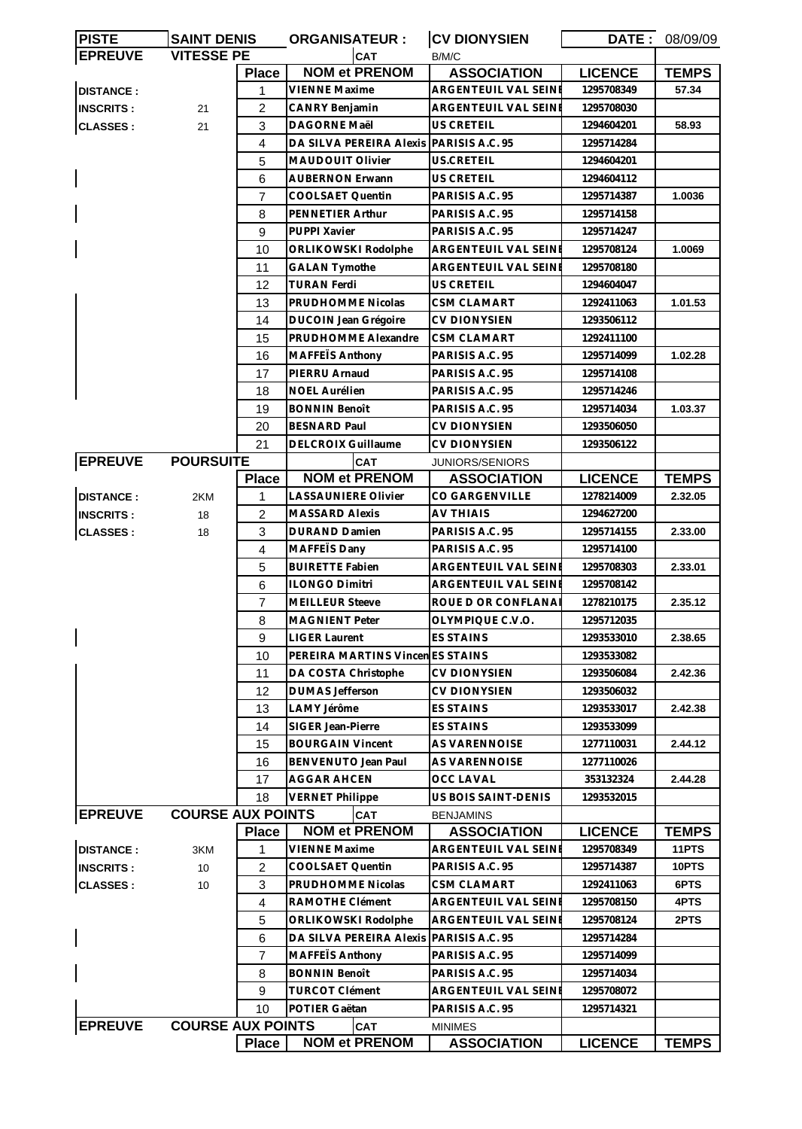| <b>PISTE</b>     | <b>SAINT DENIS</b>       |                | <b>ORGANISATEUR:</b>                    | <b>CV DIONYSIEN</b>    |                | DATE: 08/09/09 |
|------------------|--------------------------|----------------|-----------------------------------------|------------------------|----------------|----------------|
| <b>EPREUVE</b>   | <b>VITESSE PE</b>        |                | <b>CAT</b>                              | B/M/C                  |                |                |
|                  |                          | <b>Place</b>   | <b>NOM et PRENOM</b>                    | <b>ASSOCIATION</b>     | <b>LICENCE</b> | <b>TEMPS</b>   |
| <b>DISTANCE:</b> |                          | 1              | VIENNE Maxime                           | ARGENTEUIL VAL SEINE   | 1295708349     | 57.34          |
| <b>INSCRITS:</b> | 21                       | 2              | <b>CANRY Benjamin</b>                   | ARGENTEUIL VAL SEINE   | 1295708030     |                |
| <b>CLASSES:</b>  | 21                       | 3              | DAGORNE Maël                            | US CRETEIL             | 1294604201     | 58.93          |
|                  |                          | 4              | DA SILVA PEREIRA Alexis PARISIS A.C. 95 |                        | 1295714284     |                |
|                  |                          | 5              | <b>MAUDOUIT Olivier</b>                 | US.CRETEIL             | 1294604201     |                |
|                  |                          | 6              | AUBERNON Erwann                         | US CRETEIL             | 1294604112     |                |
|                  |                          | $\overline{7}$ | COOLSAET Quentin                        | PARISIS A.C. 95        | 1295714387     | 1.0036         |
|                  |                          | 8              | PENNETIER Arthur                        | PARISIS A.C. 95        | 1295714158     |                |
|                  |                          | 9              | PUPPI Xavier                            | PARISIS A.C. 95        | 1295714247     |                |
|                  |                          | 10             | ORLIKOWSKI Rodolphe                     | ARGENTEUIL VAL SEINE   | 1295708124     | 1.0069         |
|                  |                          | 11             | <b>GALAN Tymothe</b>                    | ARGENTEUIL VAL SEINE   | 1295708180     |                |
|                  |                          | 12             | TURAN Ferdi                             | US CRETEIL             | 1294604047     |                |
|                  |                          |                |                                         | <b>CSM CLAMART</b>     |                |                |
|                  |                          | 13             | PRUDHOMME Nicolas                       |                        | 1292411063     | 1.01.53        |
|                  |                          | 14             | <b>DUCOIN Jean Grégoire</b>             | <b>CV DIONYSIEN</b>    | 1293506112     |                |
|                  |                          | 15             | PRUDHOMME Alexandre                     | <b>CSM CLAMART</b>     | 1292411100     |                |
|                  |                          | 16             | MAFFETS Anthony                         | PARISIS A.C. 95        | 1295714099     | 1.02.28        |
|                  |                          | 17             | PIERRU Arnaud                           | PARISIS A.C. 95        | 1295714108     |                |
|                  |                          | 18             | <b>NOEL Aurélien</b>                    | PARISIS A.C. 95        | 1295714246     |                |
|                  |                          | 19             | <b>BONNIN Benoît</b>                    | PARISIS A.C. 95        | 1295714034     | 1.03.37        |
|                  |                          | 20             | <b>BESNARD Paul</b>                     | <b>CV DIONYSIEN</b>    | 1293506050     |                |
|                  |                          | 21             | <b>DELCROIX Guillaume</b>               | <b>CV DIONYSIEN</b>    | 1293506122     |                |
| <b>EPREUVE</b>   | <b>POURSUITE</b>         |                | CAT                                     | <b>JUNIORS/SENIORS</b> |                |                |
|                  |                          | <b>Place</b>   | <b>NOM et PRENOM</b>                    | <b>ASSOCIATION</b>     | <b>LICENCE</b> | <b>TEMPS</b>   |
| <b>DISTANCE:</b> | 2KM                      | 1              | <b>LASSAUNIERE Olivier</b>              | CO GARGENVILLE         | 1278214009     | 2.32.05        |
| <b>INSCRITS:</b> | 18                       | 2              | <b>MASSARD Alexis</b>                   | <b>AV THIAIS</b>       | 1294627200     |                |
| <b>CLASSES:</b>  | 18                       | 3              | DURAND Damien                           | PARISIS A.C. 95        | 1295714155     | 2.33.00        |
|                  |                          | 4              | MAFFEIS Dany                            | PARISIS A.C. 95        | 1295714100     |                |
|                  |                          | 5              | <b>BUIRETTE Fabien</b>                  | ARGENTEUIL VAL SEINE   | 1295708303     | 2.33.01        |
|                  |                          | 6              | <b>ILONGO Dimitri</b>                   | ARGENTEUIL VAL SEINE   | 1295708142     |                |
|                  |                          | $\overline{7}$ | <b>MEILLEUR Steeve</b>                  | ROUE D OR CONFLANA     | 1278210175     | 2.35.12        |
|                  |                          | 8              | MAGNIENT Peter                          | OLYMPIQUE C.V.O.       | 1295712035     |                |
|                  |                          | 9              | <b>LIGER Laurent</b>                    | ES STAINS              | 1293533010     | 2.38.65        |
|                  |                          | 10             | PEREIRA MARTINS VincenES STAINS         |                        | 1293533082     |                |
|                  |                          | 11             | DA COSTA Christophe                     | <b>CV DIONYSIEN</b>    | 1293506084     | 2.42.36        |
|                  |                          | 12             | <b>DUMAS Jefferson</b>                  | <b>CV DIONYSIEN</b>    | 1293506032     |                |
|                  |                          | 13             | LAMY Jérôme                             | <b>ES STAINS</b>       | 1293533017     | 2.42.38        |
|                  |                          |                | SIGER Jean-Pierre                       | ES STAINS              | 1293533099     |                |
|                  |                          | 14             |                                         |                        |                |                |
|                  |                          | 15             | <b>BOURGAIN Vincent</b>                 | AS VARENNOISE          | 1277110031     | 2.44.12        |
|                  |                          | 16             | BENVENUTO Jean Paul                     | AS VARENNOISE          | 1277110026     |                |
|                  |                          | 17             | <b>AGGAR AHCEN</b>                      | <b>OCC LAVAL</b>       | 353132324      | 2.44.28        |
|                  |                          | 18             | <b>VERNET Philippe</b>                  | US BOIS SAINT-DENIS    | 1293532015     |                |
| <b>EPREUVE</b>   | <b>COURSE AUX POINTS</b> |                | <b>CAT</b>                              | <b>BENJAMINS</b>       |                |                |
|                  |                          | <b>Place</b>   | <b>NOM et PRENOM</b>                    | <b>ASSOCIATION</b>     | <b>LICENCE</b> | <b>TEMPS</b>   |
| <b>DISTANCE:</b> | 3KM                      | 1              | <b>VIENNE Maxime</b>                    | ARGENTEUIL VAL SEINE   | 1295708349     | 11PTS          |
| <b>INSCRITS:</b> | 10                       | 2              | COOLSAET Quentin                        | PARISIS A.C. 95        | 1295714387     | 10PTS          |
| <b>CLASSES:</b>  | 10                       | 3              | PRUDHOMME Nicolas                       | <b>CSM CLAMART</b>     | 1292411063     | 6PTS           |
|                  |                          | 4              | RAMOTHE Clément                         | ARGENTEUIL VAL SEINE   | 1295708150     | 4PTS           |
|                  |                          | 5              | ORLIKOWSKI Rodolphe                     | ARGENTEUIL VAL SEINI   | 1295708124     | 2PTS           |
|                  |                          | 6              | DA SILVA PEREIRA Alexis PARISIS A.C. 95 |                        | 1295714284     |                |
|                  |                          | $\overline{7}$ | MAFFETS Anthony                         | PARISIS A.C. 95        | 1295714099     |                |
|                  |                          | 8              | <b>BONNIN Benoît</b>                    | PARISIS A.C. 95        | 1295714034     |                |
|                  |                          | 9              | <b>TURCOT Clément</b>                   | ARGENTEUIL VAL SEINI   | 1295708072     |                |
|                  |                          | 10             | POTIER Gaëtan                           | PARISIS A.C. 95        | 1295714321     |                |
| <b>EPREUVE</b>   | <b>COURSE AUX POINTS</b> |                | <b>CAT</b>                              | <b>MINIMES</b>         |                |                |
|                  |                          | <b>Place</b>   | <b>NOM et PRENOM</b>                    | <b>ASSOCIATION</b>     | <b>LICENCE</b> | <b>TEMPS</b>   |
|                  |                          |                |                                         |                        |                |                |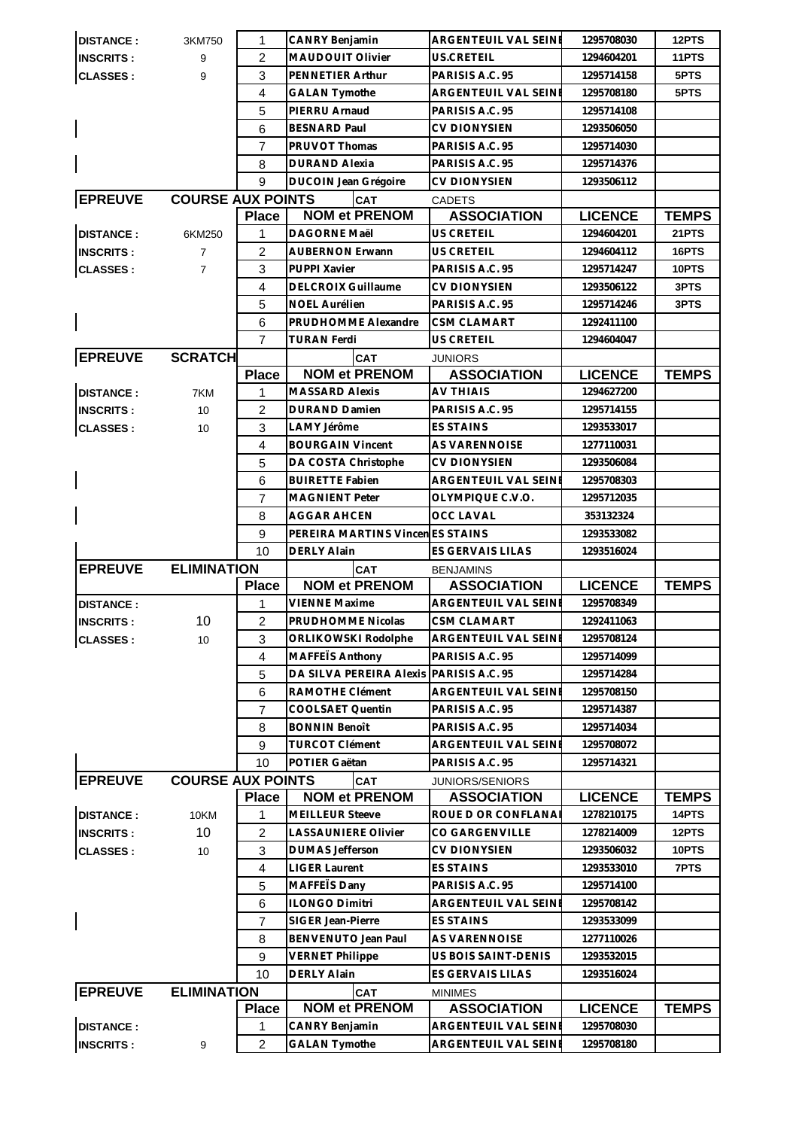| <b>DISTANCE:</b>                     | 3KM750                   | 1                   | <b>CANRY Benjamin</b>                   | ARGENTEUIL VAL SEINE                         | 1295708030               | 12PTS        |
|--------------------------------------|--------------------------|---------------------|-----------------------------------------|----------------------------------------------|--------------------------|--------------|
| <b>INSCRITS:</b>                     | 9                        | $\overline{2}$      | <b>MAUDOUIT Olivier</b>                 | US.CRETEIL                                   | 1294604201               | 11PTS        |
| <b>CLASSES:</b>                      | 9                        | 3                   | PENNETIER Arthur                        | PARISIS A.C. 95                              | 1295714158               | 5PTS         |
|                                      |                          | $\overline{4}$      | <b>GALAN Tymothe</b>                    | ARGENTEUIL VAL SEINE                         | 1295708180               | 5PTS         |
|                                      |                          | 5                   | PIERRU Arnaud                           | PARISIS A.C. 95                              | 1295714108               |              |
|                                      |                          | 6                   | <b>BESNARD Paul</b>                     | <b>CV DIONYSIEN</b>                          | 1293506050               |              |
|                                      |                          | $\overline{7}$      | PRUVOT Thomas                           | PARISIS A.C. 95                              | 1295714030               |              |
|                                      |                          | 8                   | <b>DURAND Alexia</b>                    | PARISIS A.C. 95                              | 1295714376               |              |
|                                      |                          | 9                   | DUCOIN Jean Grégoire                    | CV DIONYSIEN                                 | 1293506112               |              |
| <b>EPREUVE</b>                       | <b>COURSE AUX POINTS</b> |                     | CAT                                     | <b>CADETS</b>                                |                          |              |
|                                      |                          | <b>Place</b>        | <b>NOM et PRENOM</b>                    | <b>ASSOCIATION</b>                           | <b>LICENCE</b>           | <b>TEMPS</b> |
| <b>DISTANCE:</b>                     | 6KM250                   | $\mathbf{1}$        | DAGORNE Maël                            | <b>US CRETEIL</b>                            | 1294604201               | 21PTS        |
| <b>INSCRITS:</b>                     | $\overline{7}$           | $\overline{2}$      | AUBERNON Erwann                         | <b>US CRETEIL</b>                            | 1294604112               | 16PTS        |
| <b>CLASSES:</b>                      | $\overline{7}$           | 3                   | PUPPI Xavier                            | PARISIS A.C. 95                              | 1295714247               | 10PTS        |
|                                      |                          | 4                   | <b>DELCROIX Guillaume</b>               | <b>CV DIONYSIEN</b>                          | 1293506122               | 3PTS         |
|                                      |                          | 5                   | <b>NOEL Aurélien</b>                    | PARISIS A.C. 95                              | 1295714246               | 3PTS         |
|                                      |                          | 6                   | PRUDHOMME Alexandre                     | <b>CSM CLAMART</b>                           | 1292411100               |              |
|                                      |                          | $\overline{7}$      | <b>TURAN Ferdi</b>                      | <b>US CRETEIL</b>                            | 1294604047               |              |
| <b>EPREUVE</b>                       | <b>SCRATCH</b>           |                     | <b>CAT</b>                              | <b>JUNIORS</b>                               |                          |              |
|                                      |                          | <b>Place</b>        | <b>NOM et PRENOM</b>                    | <b>ASSOCIATION</b>                           | <b>LICENCE</b>           | <b>TEMPS</b> |
| <b>DISTANCE:</b>                     | 7KM                      | 1                   | <b>MASSARD Alexis</b>                   | <b>AV THIAIS</b>                             | 1294627200               |              |
| <b>INSCRITS:</b>                     | 10                       | $\overline{2}$      | <b>DURAND Damien</b>                    | PARISIS A.C. 95                              | 1295714155               |              |
| <b>CLASSES:</b>                      | 10                       | 3                   | LAMY Jérôme                             | <b>ES STAINS</b>                             | 1293533017               |              |
|                                      |                          | $\overline{4}$      | <b>BOURGAIN Vincent</b>                 | AS VARENNOISE                                | 1277110031               |              |
|                                      |                          | 5                   | DA COSTA Christophe                     | <b>CV DIONYSIEN</b>                          | 1293506084               |              |
|                                      |                          | 6                   | <b>BUIRETTE Fabien</b>                  | ARGENTEUIL VAL SEINE                         | 1295708303               |              |
|                                      |                          | $\overline{7}$      | <b>MAGNIENT Peter</b>                   | OLYMPIQUE C.V.O.                             | 1295712035               |              |
|                                      |                          | 8                   | <b>AGGAR AHCEN</b>                      | <b>OCC LAVAL</b>                             | 353132324                |              |
|                                      |                          | 9                   | PEREIRA MARTINS VincenES STAINS         |                                              | 1293533082               |              |
|                                      |                          | 10                  | <b>DERLY Alain</b>                      | ES GERVAIS LILAS                             | 1293516024               |              |
|                                      |                          |                     |                                         |                                              |                          |              |
| <b>EPREUVE</b>                       | <b>ELIMINATION</b>       |                     | <b>CAT</b>                              | <b>BENJAMINS</b>                             |                          |              |
|                                      |                          | <b>Place</b>        | <b>NOM et PRENOM</b>                    | <b>ASSOCIATION</b>                           | <b>LICENCE</b>           | <b>TEMPS</b> |
| <b>DISTANCE:</b>                     |                          | 1                   | <b>VIENNE Maxime</b>                    | ARGENTEUIL VAL SEINE                         | 1295708349               |              |
| <b>INSCRITS:</b>                     | 10                       | $\overline{2}$      | PRUDHOMME Nicolas                       | CSM CLAMART                                  | 1292411063               |              |
| CLASSES :                            | 10                       | 3                   | ORLIKOWSKI Rodolphe                     | ARGENTEUIL VAL SEINI                         | 1295708124               |              |
|                                      |                          | $\overline{4}$      | MAFFEIS Anthony                         | PARISIS A.C. 95                              | 1295714099               |              |
|                                      |                          | 5                   | DA SILVA PEREIRA Alexis PARISIS A.C. 95 |                                              | 1295714284               |              |
|                                      |                          | 6                   | RAMOTHE Clément                         | ARGENTEUIL VAL SEINE                         | 1295708150               |              |
|                                      |                          | 7                   | COOLSAET Quentin                        | PARISIS A.C. 95                              | 1295714387               |              |
|                                      |                          | 8                   | <b>BONNIN Benoît</b>                    | PARISIS A.C. 95                              | 1295714034               |              |
|                                      |                          | 9                   | <b>TURCOT Clément</b>                   | ARGENTEUIL VAL SEINE                         | 1295708072               |              |
|                                      |                          | 10                  | POTIER Gaëtan                           | PARISIS A.C. 95                              | 1295714321               |              |
| <b>EPREUVE</b>                       | <b>COURSE AUX POINTS</b> |                     | <b>CAT</b>                              | JUNIORS/SENIORS                              |                          |              |
|                                      |                          | <b>Place</b>        | <b>NOM et PRENOM</b>                    | <b>ASSOCIATION</b>                           | <b>LICENCE</b>           | <b>TEMPS</b> |
| <b>DISTANCE:</b>                     | 10KM                     | 1                   | <b>MEILLEUR Steeve</b>                  | ROUE D OR CONFLANA                           | 1278210175               | 14PTS        |
| <b>INSCRITS:</b>                     | 10                       | $\overline{c}$      | <b>LASSAUNIERE Olivier</b>              | CO GARGENVILLE                               | 1278214009               | 12PTS        |
| <b>CLASSES:</b>                      | 10                       | 3                   | <b>DUMAS Jefferson</b>                  | <b>CV DIONYSIEN</b>                          | 1293506032               | 10PTS        |
|                                      |                          | 4                   | <b>LIGER Laurent</b>                    | <b>ES STAINS</b>                             | 1293533010               | 7PTS         |
|                                      |                          | 5                   | MAFFETS Dany                            | PARISIS A.C. 95                              | 1295714100               |              |
|                                      |                          | 6                   | <b>ILONGO Dimitri</b>                   | ARGENTEUIL VAL SEINE                         | 1295708142               |              |
|                                      |                          | 7                   | SIGER Jean-Pierre                       | <b>ES STAINS</b>                             | 1293533099               |              |
|                                      |                          | 8                   | BENVENUTO Jean Paul                     | AS VARENNOISE                                | 1277110026               |              |
|                                      |                          | 9                   | <b>VERNET Philippe</b>                  | US BOIS SAINT-DENIS                          | 1293532015               |              |
|                                      |                          | 10                  | DERLY Alain                             | ES GERVAIS LILAS                             | 1293516024               |              |
| <b>EPREUVE</b>                       | <b>ELIMINATION</b>       |                     | <b>CAT</b>                              | <b>MINIMES</b>                               |                          |              |
|                                      |                          | <b>Place</b>        | <b>NOM et PRENOM</b>                    | <b>ASSOCIATION</b>                           | <b>LICENCE</b>           | <b>TEMPS</b> |
| <b>DISTANCE:</b><br><b>INSCRITS:</b> | 9                        | 1<br>$\overline{2}$ | CANRY Benjamin<br><b>GALAN Tymothe</b>  | ARGENTEUIL VAL SEINE<br>ARGENTEUIL VAL SEINE | 1295708030<br>1295708180 |              |